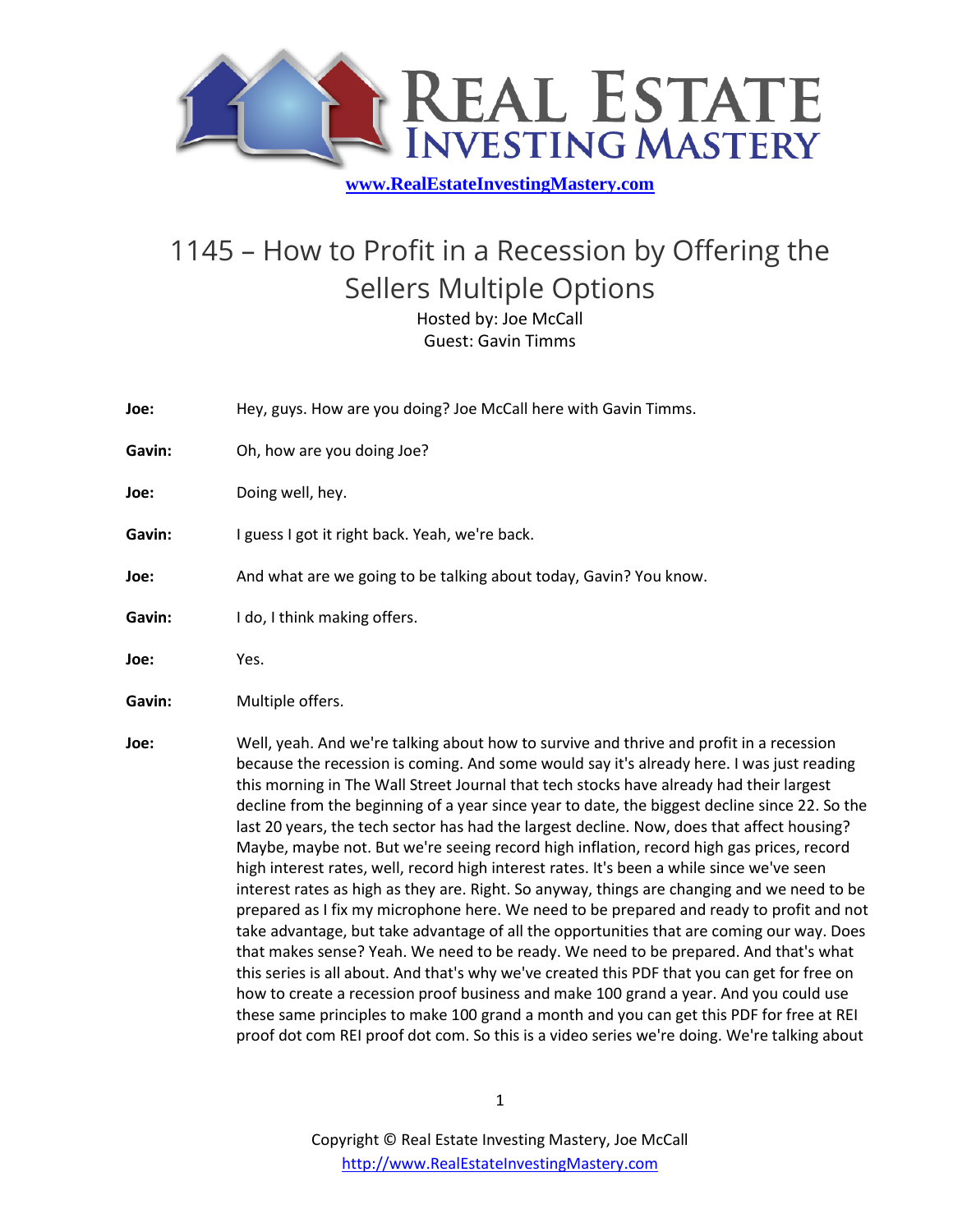

## 1145 – How to Profit in a Recession by Offering the Sellers Multiple Options Hosted by: Joe McCall

Guest: Gavin Timms

- **Joe:** Hey, guys. How are you doing? Joe McCall here with Gavin Timms.
- **Gavin:** Oh, how are you doing Joe?
- **Joe:** Doing well, hey.
- Gavin: I guess I got it right back. Yeah, we're back.
- **Joe:** And what are we going to be talking about today, Gavin? You know.
- Gavin: **I do, I think making offers.**
- **Joe:** Yes.
- Gavin: Multiple offers.
- **Joe:** Well, yeah. And we're talking about how to survive and thrive and profit in a recession because the recession is coming. And some would say it's already here. I was just reading this morning in The Wall Street Journal that tech stocks have already had their largest decline from the beginning of a year since year to date, the biggest decline since 22. So the last 20 years, the tech sector has had the largest decline. Now, does that affect housing? Maybe, maybe not. But we're seeing record high inflation, record high gas prices, record high interest rates, well, record high interest rates. It's been a while since we've seen interest rates as high as they are. Right. So anyway, things are changing and we need to be prepared as I fix my microphone here. We need to be prepared and ready to profit and not take advantage, but take advantage of all the opportunities that are coming our way. Does that makes sense? Yeah. We need to be ready. We need to be prepared. And that's what this series is all about. And that's why we've created this PDF that you can get for free on how to create a recession proof business and make 100 grand a year. And you could use these same principles to make 100 grand a month and you can get this PDF for free at REI proof dot com REI proof dot com. So this is a video series we're doing. We're talking about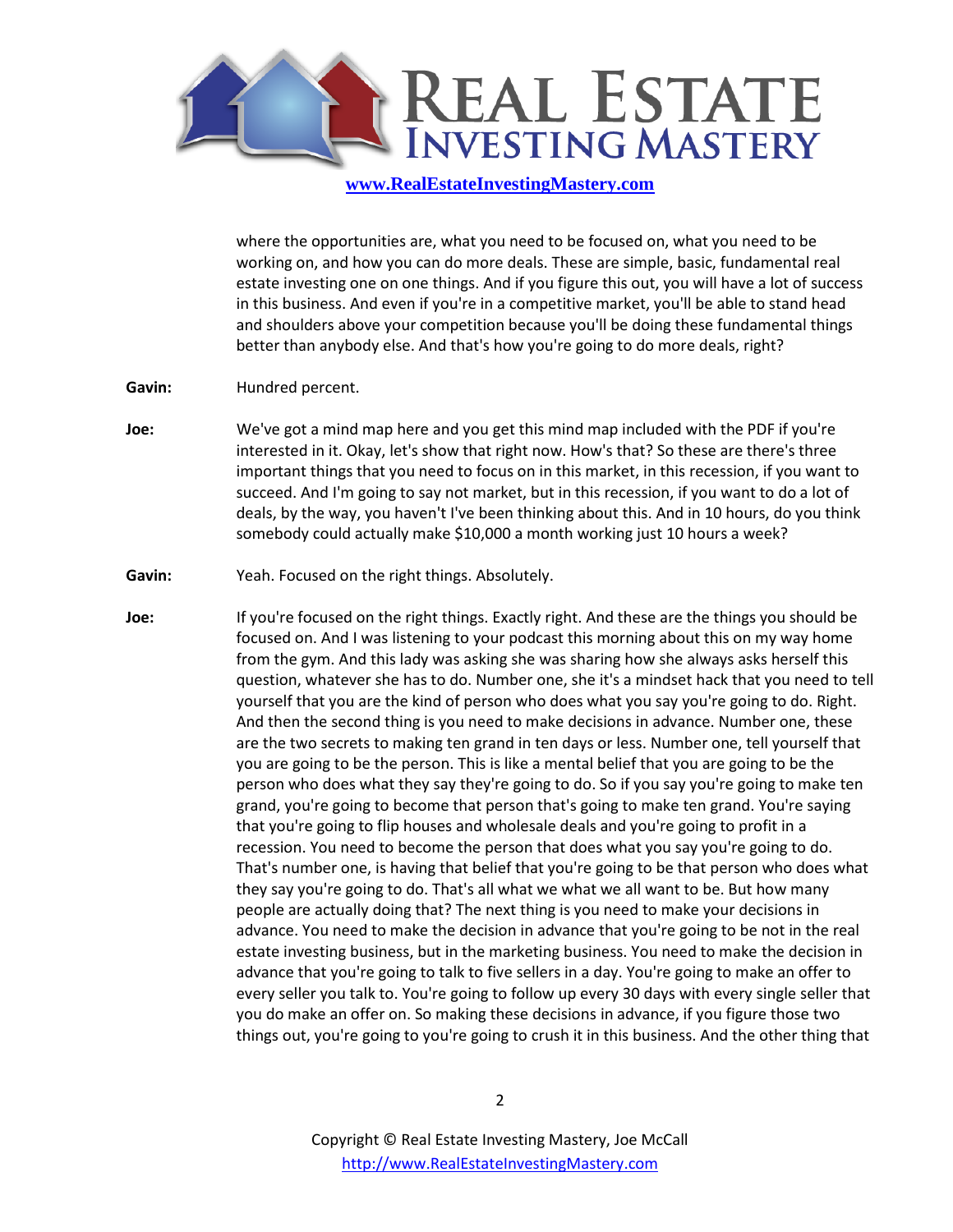

where the opportunities are, what you need to be focused on, what you need to be working on, and how you can do more deals. These are simple, basic, fundamental real estate investing one on one things. And if you figure this out, you will have a lot of success in this business. And even if you're in a competitive market, you'll be able to stand head and shoulders above your competition because you'll be doing these fundamental things better than anybody else. And that's how you're going to do more deals, right?

- Gavin: **Hundred percent.**
- **Joe:** We've got a mind map here and you get this mind map included with the PDF if you're interested in it. Okay, let's show that right now. How's that? So these are there's three important things that you need to focus on in this market, in this recession, if you want to succeed. And I'm going to say not market, but in this recession, if you want to do a lot of deals, by the way, you haven't I've been thinking about this. And in 10 hours, do you think somebody could actually make \$10,000 a month working just 10 hours a week?
- **Gavin:** Yeah. Focused on the right things. Absolutely.
- **Joe:** If you're focused on the right things. Exactly right. And these are the things you should be focused on. And I was listening to your podcast this morning about this on my way home from the gym. And this lady was asking she was sharing how she always asks herself this question, whatever she has to do. Number one, she it's a mindset hack that you need to tell yourself that you are the kind of person who does what you say you're going to do. Right. And then the second thing is you need to make decisions in advance. Number one, these are the two secrets to making ten grand in ten days or less. Number one, tell yourself that you are going to be the person. This is like a mental belief that you are going to be the person who does what they say they're going to do. So if you say you're going to make ten grand, you're going to become that person that's going to make ten grand. You're saying that you're going to flip houses and wholesale deals and you're going to profit in a recession. You need to become the person that does what you say you're going to do. That's number one, is having that belief that you're going to be that person who does what they say you're going to do. That's all what we what we all want to be. But how many people are actually doing that? The next thing is you need to make your decisions in advance. You need to make the decision in advance that you're going to be not in the real estate investing business, but in the marketing business. You need to make the decision in advance that you're going to talk to five sellers in a day. You're going to make an offer to every seller you talk to. You're going to follow up every 30 days with every single seller that you do make an offer on. So making these decisions in advance, if you figure those two things out, you're going to you're going to crush it in this business. And the other thing that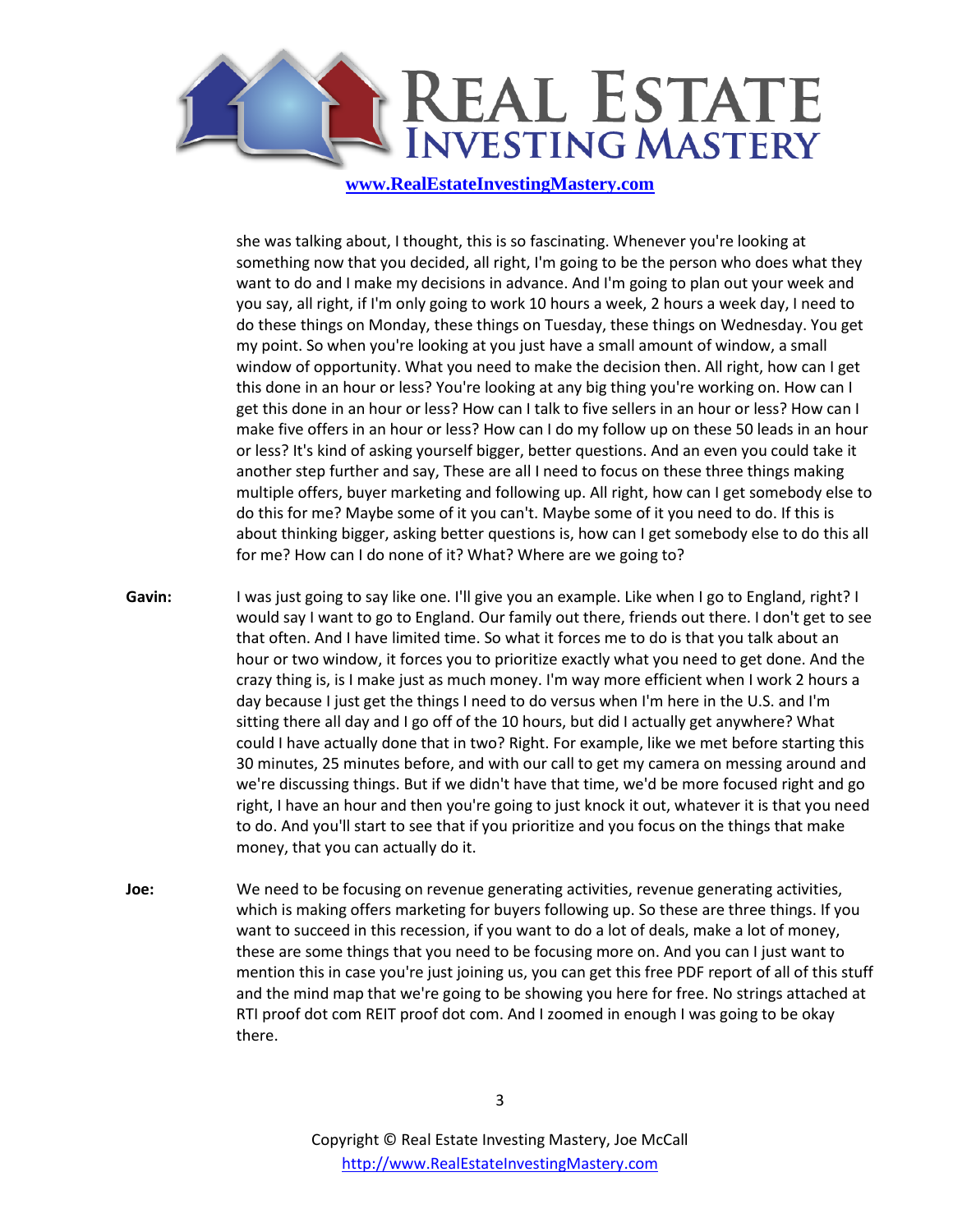

she was talking about, I thought, this is so fascinating. Whenever you're looking at something now that you decided, all right, I'm going to be the person who does what they want to do and I make my decisions in advance. And I'm going to plan out your week and you say, all right, if I'm only going to work 10 hours a week, 2 hours a week day, I need to do these things on Monday, these things on Tuesday, these things on Wednesday. You get my point. So when you're looking at you just have a small amount of window, a small window of opportunity. What you need to make the decision then. All right, how can I get this done in an hour or less? You're looking at any big thing you're working on. How can I get this done in an hour or less? How can I talk to five sellers in an hour or less? How can I make five offers in an hour or less? How can I do my follow up on these 50 leads in an hour or less? It's kind of asking yourself bigger, better questions. And an even you could take it another step further and say, These are all I need to focus on these three things making multiple offers, buyer marketing and following up. All right, how can I get somebody else to do this for me? Maybe some of it you can't. Maybe some of it you need to do. If this is about thinking bigger, asking better questions is, how can I get somebody else to do this all for me? How can I do none of it? What? Where are we going to?

- **Gavin:** I was just going to say like one. I'll give you an example. Like when I go to England, right? I would say I want to go to England. Our family out there, friends out there. I don't get to see that often. And I have limited time. So what it forces me to do is that you talk about an hour or two window, it forces you to prioritize exactly what you need to get done. And the crazy thing is, is I make just as much money. I'm way more efficient when I work 2 hours a day because I just get the things I need to do versus when I'm here in the U.S. and I'm sitting there all day and I go off of the 10 hours, but did I actually get anywhere? What could I have actually done that in two? Right. For example, like we met before starting this 30 minutes, 25 minutes before, and with our call to get my camera on messing around and we're discussing things. But if we didn't have that time, we'd be more focused right and go right, I have an hour and then you're going to just knock it out, whatever it is that you need to do. And you'll start to see that if you prioritize and you focus on the things that make money, that you can actually do it.
- **Joe:** We need to be focusing on revenue generating activities, revenue generating activities, which is making offers marketing for buyers following up. So these are three things. If you want to succeed in this recession, if you want to do a lot of deals, make a lot of money, these are some things that you need to be focusing more on. And you can I just want to mention this in case you're just joining us, you can get this free PDF report of all of this stuff and the mind map that we're going to be showing you here for free. No strings attached at RTI proof dot com REIT proof dot com. And I zoomed in enough I was going to be okay there.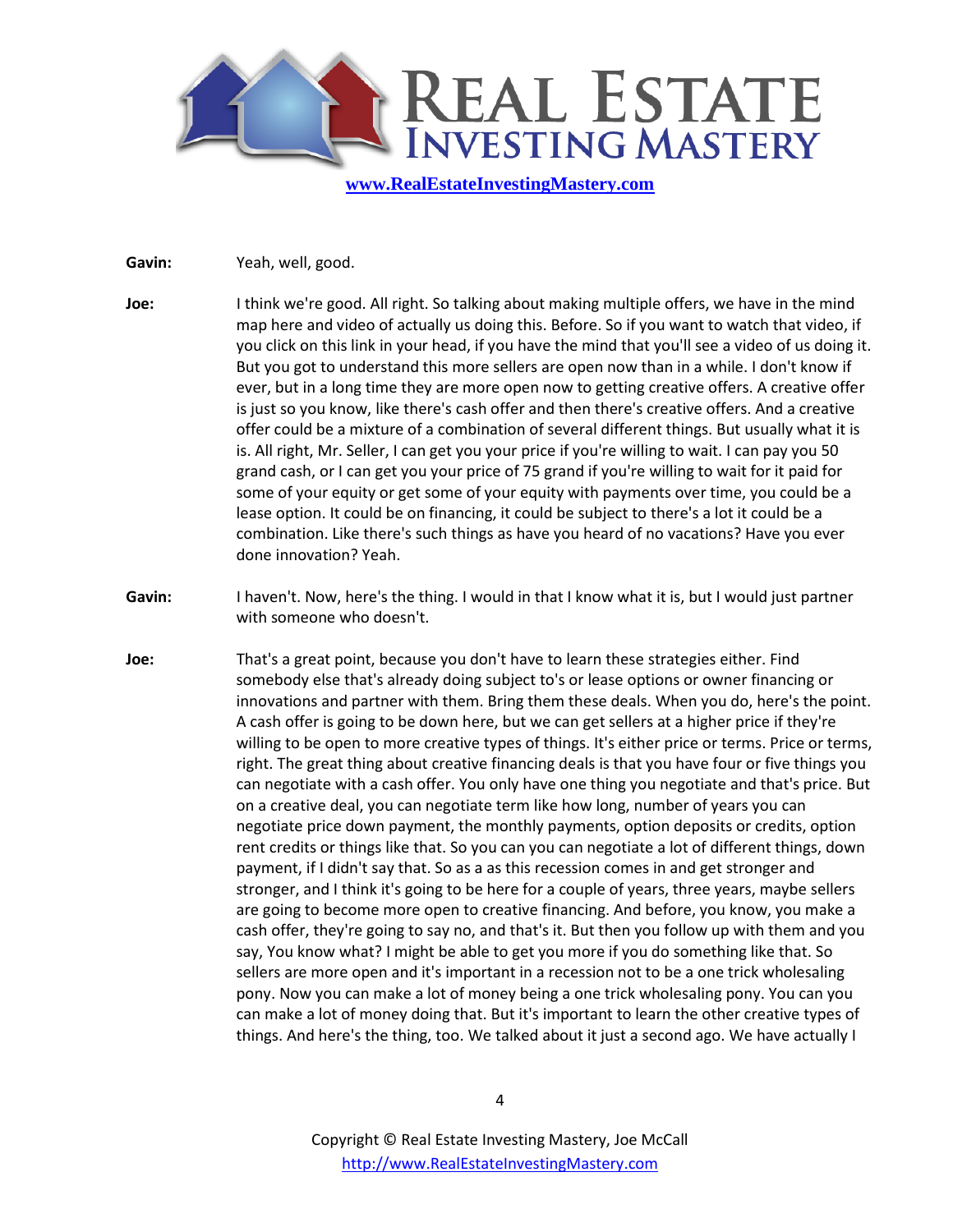

**Gavin:** Yeah, well, good.

- **Joe:** I think we're good. All right. So talking about making multiple offers, we have in the mind map here and video of actually us doing this. Before. So if you want to watch that video, if you click on this link in your head, if you have the mind that you'll see a video of us doing it. But you got to understand this more sellers are open now than in a while. I don't know if ever, but in a long time they are more open now to getting creative offers. A creative offer is just so you know, like there's cash offer and then there's creative offers. And a creative offer could be a mixture of a combination of several different things. But usually what it is is. All right, Mr. Seller, I can get you your price if you're willing to wait. I can pay you 50 grand cash, or I can get you your price of 75 grand if you're willing to wait for it paid for some of your equity or get some of your equity with payments over time, you could be a lease option. It could be on financing, it could be subject to there's a lot it could be a combination. Like there's such things as have you heard of no vacations? Have you ever done innovation? Yeah.
- **Gavin:** I haven't. Now, here's the thing. I would in that I know what it is, but I would just partner with someone who doesn't.
- **Joe:** That's a great point, because you don't have to learn these strategies either. Find somebody else that's already doing subject to's or lease options or owner financing or innovations and partner with them. Bring them these deals. When you do, here's the point. A cash offer is going to be down here, but we can get sellers at a higher price if they're willing to be open to more creative types of things. It's either price or terms. Price or terms, right. The great thing about creative financing deals is that you have four or five things you can negotiate with a cash offer. You only have one thing you negotiate and that's price. But on a creative deal, you can negotiate term like how long, number of years you can negotiate price down payment, the monthly payments, option deposits or credits, option rent credits or things like that. So you can you can negotiate a lot of different things, down payment, if I didn't say that. So as a as this recession comes in and get stronger and stronger, and I think it's going to be here for a couple of years, three years, maybe sellers are going to become more open to creative financing. And before, you know, you make a cash offer, they're going to say no, and that's it. But then you follow up with them and you say, You know what? I might be able to get you more if you do something like that. So sellers are more open and it's important in a recession not to be a one trick wholesaling pony. Now you can make a lot of money being a one trick wholesaling pony. You can you can make a lot of money doing that. But it's important to learn the other creative types of things. And here's the thing, too. We talked about it just a second ago. We have actually I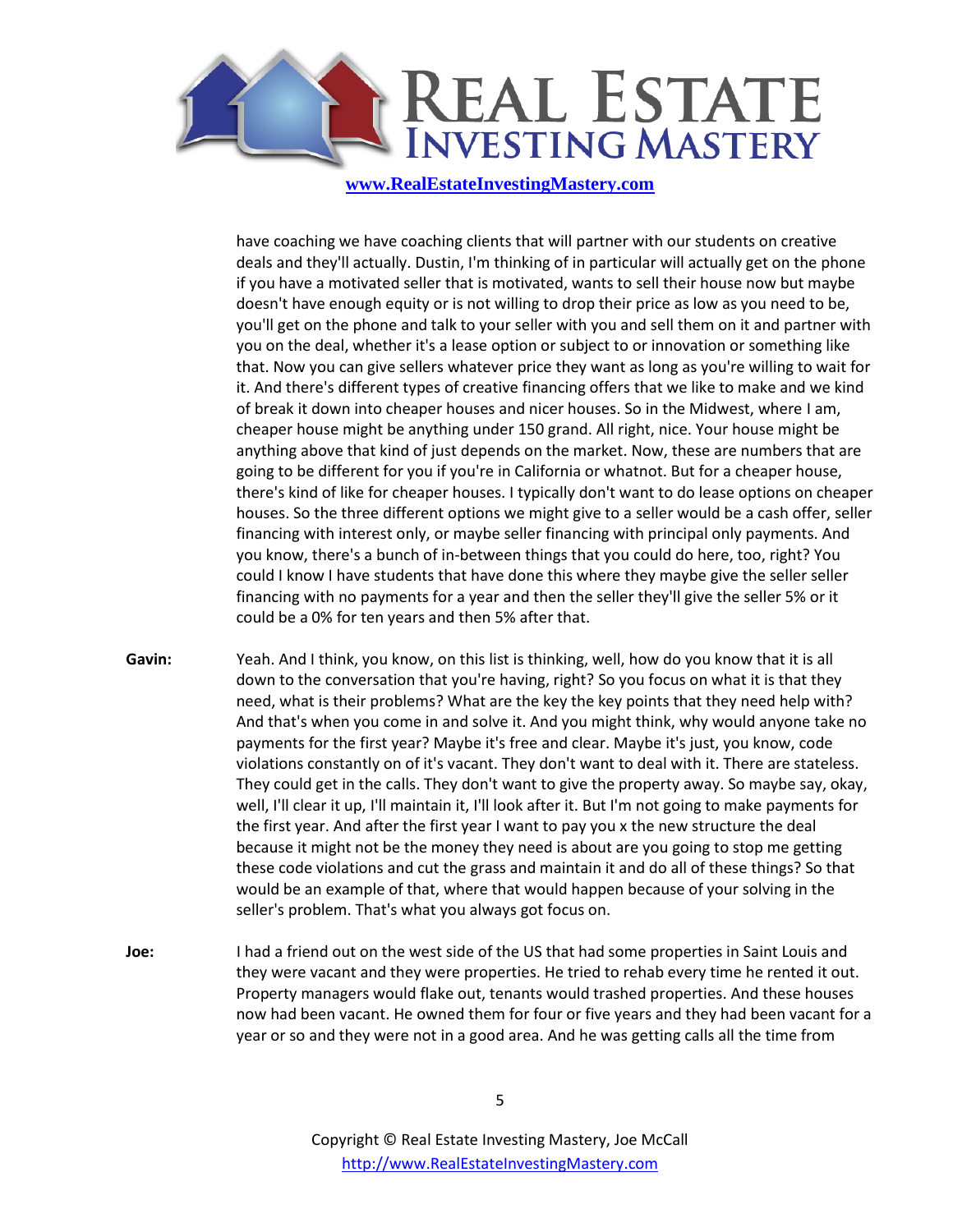

have coaching we have coaching clients that will partner with our students on creative deals and they'll actually. Dustin, I'm thinking of in particular will actually get on the phone if you have a motivated seller that is motivated, wants to sell their house now but maybe doesn't have enough equity or is not willing to drop their price as low as you need to be, you'll get on the phone and talk to your seller with you and sell them on it and partner with you on the deal, whether it's a lease option or subject to or innovation or something like that. Now you can give sellers whatever price they want as long as you're willing to wait for it. And there's different types of creative financing offers that we like to make and we kind of break it down into cheaper houses and nicer houses. So in the Midwest, where I am, cheaper house might be anything under 150 grand. All right, nice. Your house might be anything above that kind of just depends on the market. Now, these are numbers that are going to be different for you if you're in California or whatnot. But for a cheaper house, there's kind of like for cheaper houses. I typically don't want to do lease options on cheaper houses. So the three different options we might give to a seller would be a cash offer, seller financing with interest only, or maybe seller financing with principal only payments. And you know, there's a bunch of in-between things that you could do here, too, right? You could I know I have students that have done this where they maybe give the seller seller financing with no payments for a year and then the seller they'll give the seller 5% or it could be a 0% for ten years and then 5% after that.

- **Gavin:** Yeah. And I think, you know, on this list is thinking, well, how do you know that it is all down to the conversation that you're having, right? So you focus on what it is that they need, what is their problems? What are the key the key points that they need help with? And that's when you come in and solve it. And you might think, why would anyone take no payments for the first year? Maybe it's free and clear. Maybe it's just, you know, code violations constantly on of it's vacant. They don't want to deal with it. There are stateless. They could get in the calls. They don't want to give the property away. So maybe say, okay, well, I'll clear it up, I'll maintain it, I'll look after it. But I'm not going to make payments for the first year. And after the first year I want to pay you x the new structure the deal because it might not be the money they need is about are you going to stop me getting these code violations and cut the grass and maintain it and do all of these things? So that would be an example of that, where that would happen because of your solving in the seller's problem. That's what you always got focus on.
- **Joe:** I had a friend out on the west side of the US that had some properties in Saint Louis and they were vacant and they were properties. He tried to rehab every time he rented it out. Property managers would flake out, tenants would trashed properties. And these houses now had been vacant. He owned them for four or five years and they had been vacant for a year or so and they were not in a good area. And he was getting calls all the time from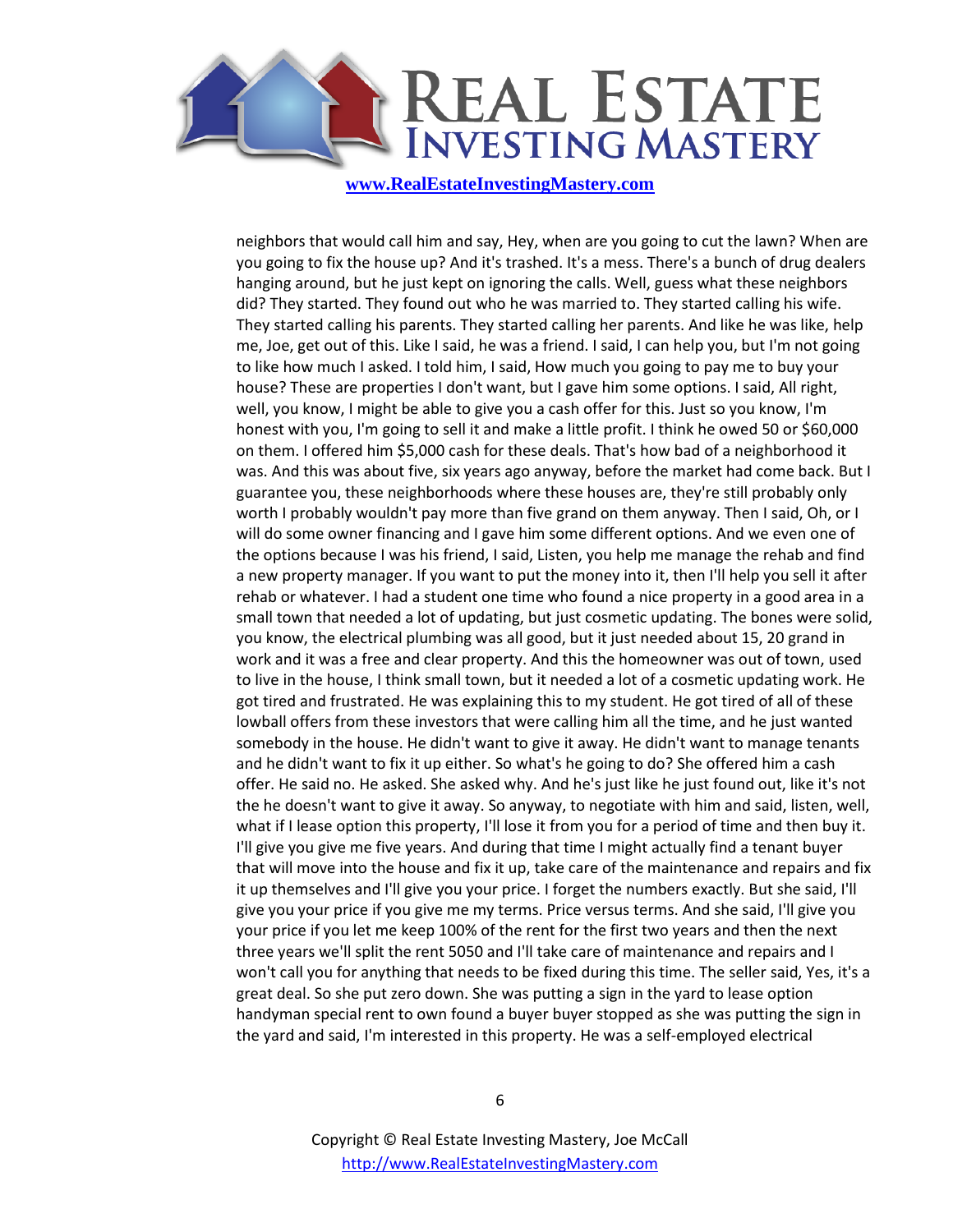

neighbors that would call him and say, Hey, when are you going to cut the lawn? When are you going to fix the house up? And it's trashed. It's a mess. There's a bunch of drug dealers hanging around, but he just kept on ignoring the calls. Well, guess what these neighbors did? They started. They found out who he was married to. They started calling his wife. They started calling his parents. They started calling her parents. And like he was like, help me, Joe, get out of this. Like I said, he was a friend. I said, I can help you, but I'm not going to like how much I asked. I told him, I said, How much you going to pay me to buy your house? These are properties I don't want, but I gave him some options. I said, All right, well, you know, I might be able to give you a cash offer for this. Just so you know, I'm honest with you, I'm going to sell it and make a little profit. I think he owed 50 or \$60,000 on them. I offered him \$5,000 cash for these deals. That's how bad of a neighborhood it was. And this was about five, six years ago anyway, before the market had come back. But I guarantee you, these neighborhoods where these houses are, they're still probably only worth I probably wouldn't pay more than five grand on them anyway. Then I said, Oh, or I will do some owner financing and I gave him some different options. And we even one of the options because I was his friend, I said, Listen, you help me manage the rehab and find a new property manager. If you want to put the money into it, then I'll help you sell it after rehab or whatever. I had a student one time who found a nice property in a good area in a small town that needed a lot of updating, but just cosmetic updating. The bones were solid, you know, the electrical plumbing was all good, but it just needed about 15, 20 grand in work and it was a free and clear property. And this the homeowner was out of town, used to live in the house, I think small town, but it needed a lot of a cosmetic updating work. He got tired and frustrated. He was explaining this to my student. He got tired of all of these lowball offers from these investors that were calling him all the time, and he just wanted somebody in the house. He didn't want to give it away. He didn't want to manage tenants and he didn't want to fix it up either. So what's he going to do? She offered him a cash offer. He said no. He asked. She asked why. And he's just like he just found out, like it's not the he doesn't want to give it away. So anyway, to negotiate with him and said, listen, well, what if I lease option this property, I'll lose it from you for a period of time and then buy it. I'll give you give me five years. And during that time I might actually find a tenant buyer that will move into the house and fix it up, take care of the maintenance and repairs and fix it up themselves and I'll give you your price. I forget the numbers exactly. But she said, I'll give you your price if you give me my terms. Price versus terms. And she said, I'll give you your price if you let me keep 100% of the rent for the first two years and then the next three years we'll split the rent 5050 and I'll take care of maintenance and repairs and I won't call you for anything that needs to be fixed during this time. The seller said, Yes, it's a great deal. So she put zero down. She was putting a sign in the yard to lease option handyman special rent to own found a buyer buyer stopped as she was putting the sign in the yard and said, I'm interested in this property. He was a self-employed electrical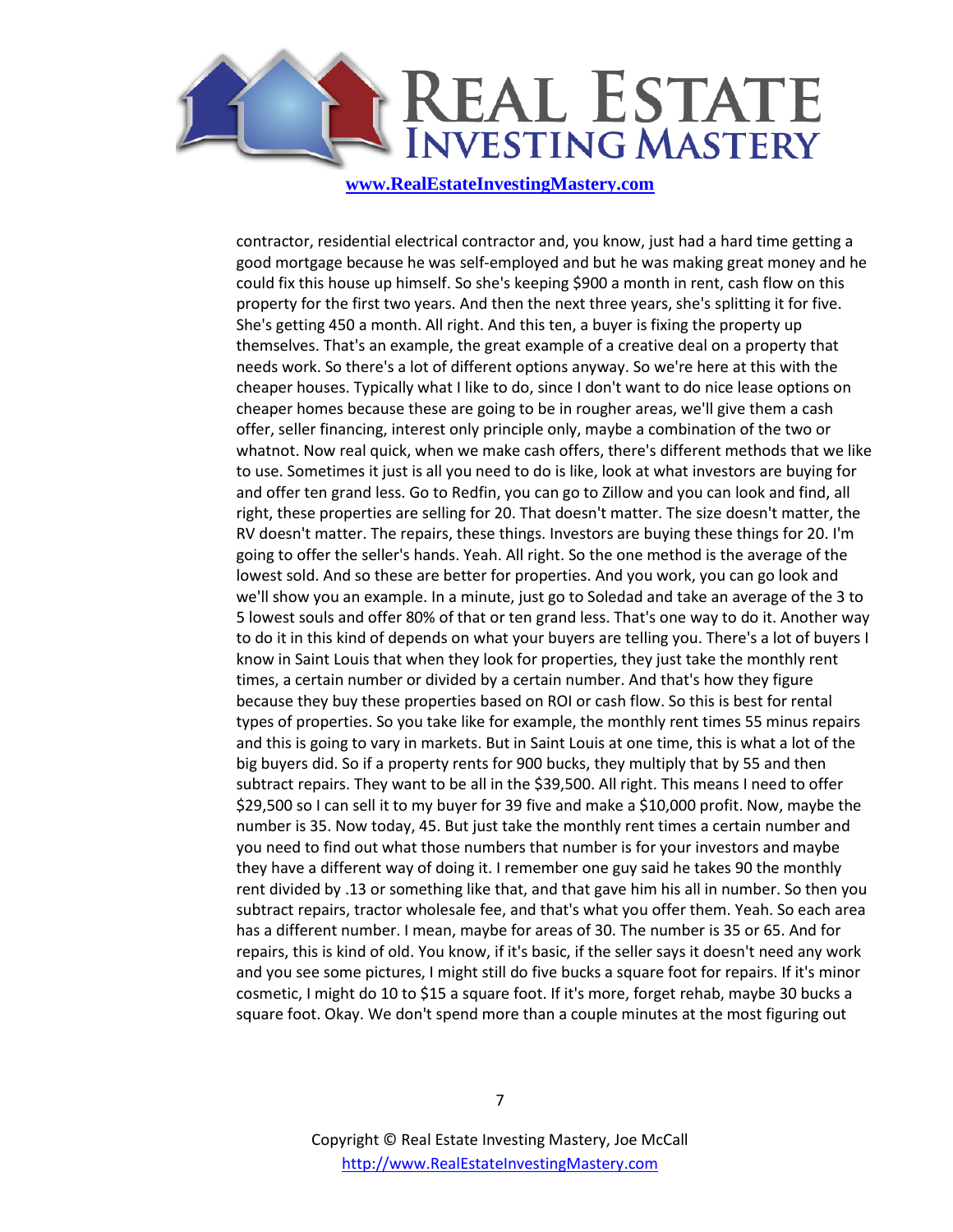

contractor, residential electrical contractor and, you know, just had a hard time getting a good mortgage because he was self-employed and but he was making great money and he could fix this house up himself. So she's keeping \$900 a month in rent, cash flow on this property for the first two years. And then the next three years, she's splitting it for five. She's getting 450 a month. All right. And this ten, a buyer is fixing the property up themselves. That's an example, the great example of a creative deal on a property that needs work. So there's a lot of different options anyway. So we're here at this with the cheaper houses. Typically what I like to do, since I don't want to do nice lease options on cheaper homes because these are going to be in rougher areas, we'll give them a cash offer, seller financing, interest only principle only, maybe a combination of the two or whatnot. Now real quick, when we make cash offers, there's different methods that we like to use. Sometimes it just is all you need to do is like, look at what investors are buying for and offer ten grand less. Go to Redfin, you can go to Zillow and you can look and find, all right, these properties are selling for 20. That doesn't matter. The size doesn't matter, the RV doesn't matter. The repairs, these things. Investors are buying these things for 20. I'm going to offer the seller's hands. Yeah. All right. So the one method is the average of the lowest sold. And so these are better for properties. And you work, you can go look and we'll show you an example. In a minute, just go to Soledad and take an average of the 3 to 5 lowest souls and offer 80% of that or ten grand less. That's one way to do it. Another way to do it in this kind of depends on what your buyers are telling you. There's a lot of buyers I know in Saint Louis that when they look for properties, they just take the monthly rent times, a certain number or divided by a certain number. And that's how they figure because they buy these properties based on ROI or cash flow. So this is best for rental types of properties. So you take like for example, the monthly rent times 55 minus repairs and this is going to vary in markets. But in Saint Louis at one time, this is what a lot of the big buyers did. So if a property rents for 900 bucks, they multiply that by 55 and then subtract repairs. They want to be all in the \$39,500. All right. This means I need to offer \$29,500 so I can sell it to my buyer for 39 five and make a \$10,000 profit. Now, maybe the number is 35. Now today, 45. But just take the monthly rent times a certain number and you need to find out what those numbers that number is for your investors and maybe they have a different way of doing it. I remember one guy said he takes 90 the monthly rent divided by .13 or something like that, and that gave him his all in number. So then you subtract repairs, tractor wholesale fee, and that's what you offer them. Yeah. So each area has a different number. I mean, maybe for areas of 30. The number is 35 or 65. And for repairs, this is kind of old. You know, if it's basic, if the seller says it doesn't need any work and you see some pictures, I might still do five bucks a square foot for repairs. If it's minor cosmetic, I might do 10 to \$15 a square foot. If it's more, forget rehab, maybe 30 bucks a square foot. Okay. We don't spend more than a couple minutes at the most figuring out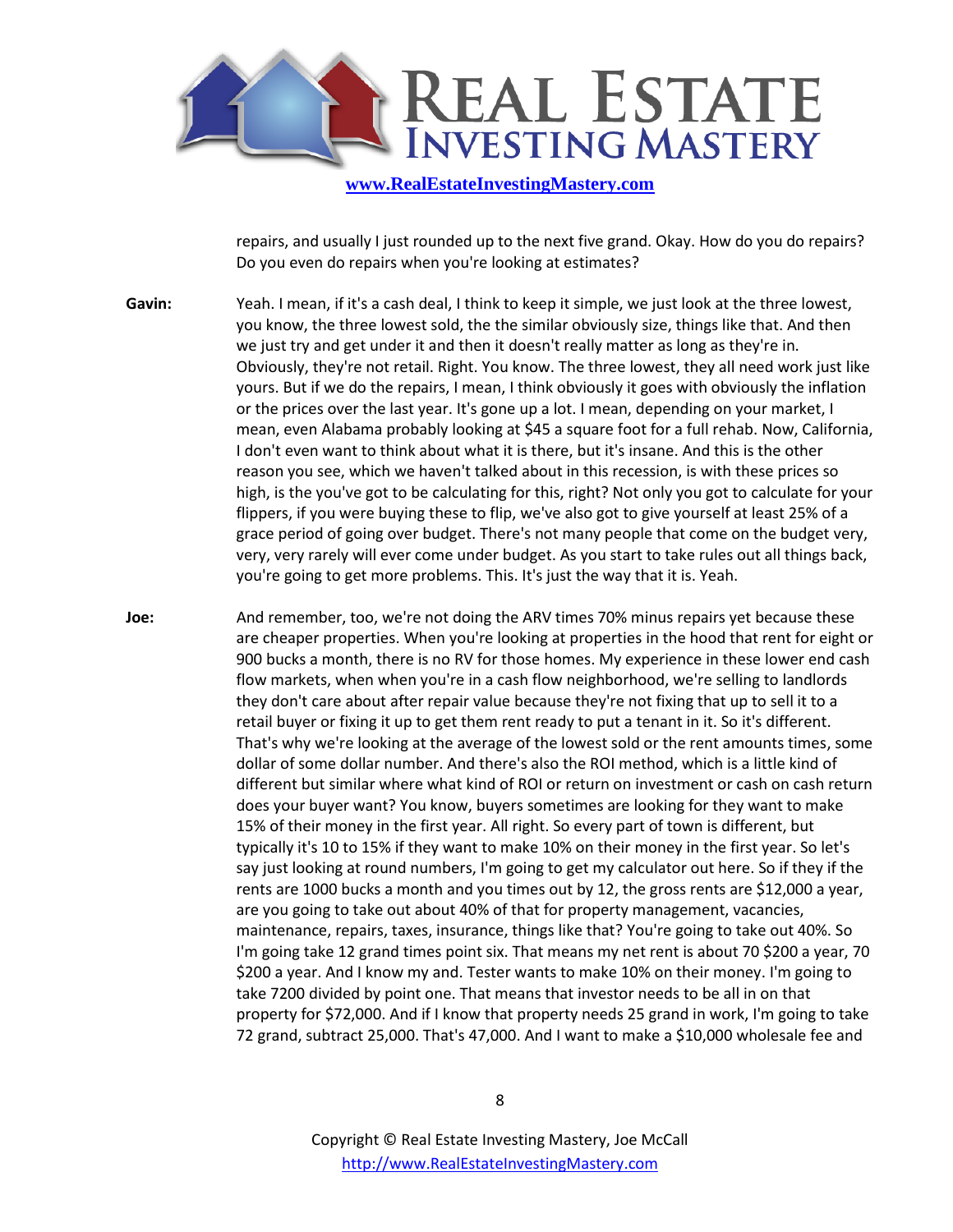

repairs, and usually I just rounded up to the next five grand. Okay. How do you do repairs? Do you even do repairs when you're looking at estimates?

**Gavin:** Yeah. I mean, if it's a cash deal, I think to keep it simple, we just look at the three lowest, you know, the three lowest sold, the the similar obviously size, things like that. And then we just try and get under it and then it doesn't really matter as long as they're in. Obviously, they're not retail. Right. You know. The three lowest, they all need work just like yours. But if we do the repairs, I mean, I think obviously it goes with obviously the inflation or the prices over the last year. It's gone up a lot. I mean, depending on your market, I mean, even Alabama probably looking at \$45 a square foot for a full rehab. Now, California, I don't even want to think about what it is there, but it's insane. And this is the other reason you see, which we haven't talked about in this recession, is with these prices so high, is the you've got to be calculating for this, right? Not only you got to calculate for your flippers, if you were buying these to flip, we've also got to give yourself at least 25% of a grace period of going over budget. There's not many people that come on the budget very, very, very rarely will ever come under budget. As you start to take rules out all things back, you're going to get more problems. This. It's just the way that it is. Yeah.

**Joe:** And remember, too, we're not doing the ARV times 70% minus repairs yet because these are cheaper properties. When you're looking at properties in the hood that rent for eight or 900 bucks a month, there is no RV for those homes. My experience in these lower end cash flow markets, when when you're in a cash flow neighborhood, we're selling to landlords they don't care about after repair value because they're not fixing that up to sell it to a retail buyer or fixing it up to get them rent ready to put a tenant in it. So it's different. That's why we're looking at the average of the lowest sold or the rent amounts times, some dollar of some dollar number. And there's also the ROI method, which is a little kind of different but similar where what kind of ROI or return on investment or cash on cash return does your buyer want? You know, buyers sometimes are looking for they want to make 15% of their money in the first year. All right. So every part of town is different, but typically it's 10 to 15% if they want to make 10% on their money in the first year. So let's say just looking at round numbers, I'm going to get my calculator out here. So if they if the rents are 1000 bucks a month and you times out by 12, the gross rents are \$12,000 a year, are you going to take out about 40% of that for property management, vacancies, maintenance, repairs, taxes, insurance, things like that? You're going to take out 40%. So I'm going take 12 grand times point six. That means my net rent is about 70 \$200 a year, 70 \$200 a year. And I know my and. Tester wants to make 10% on their money. I'm going to take 7200 divided by point one. That means that investor needs to be all in on that property for \$72,000. And if I know that property needs 25 grand in work, I'm going to take 72 grand, subtract 25,000. That's 47,000. And I want to make a \$10,000 wholesale fee and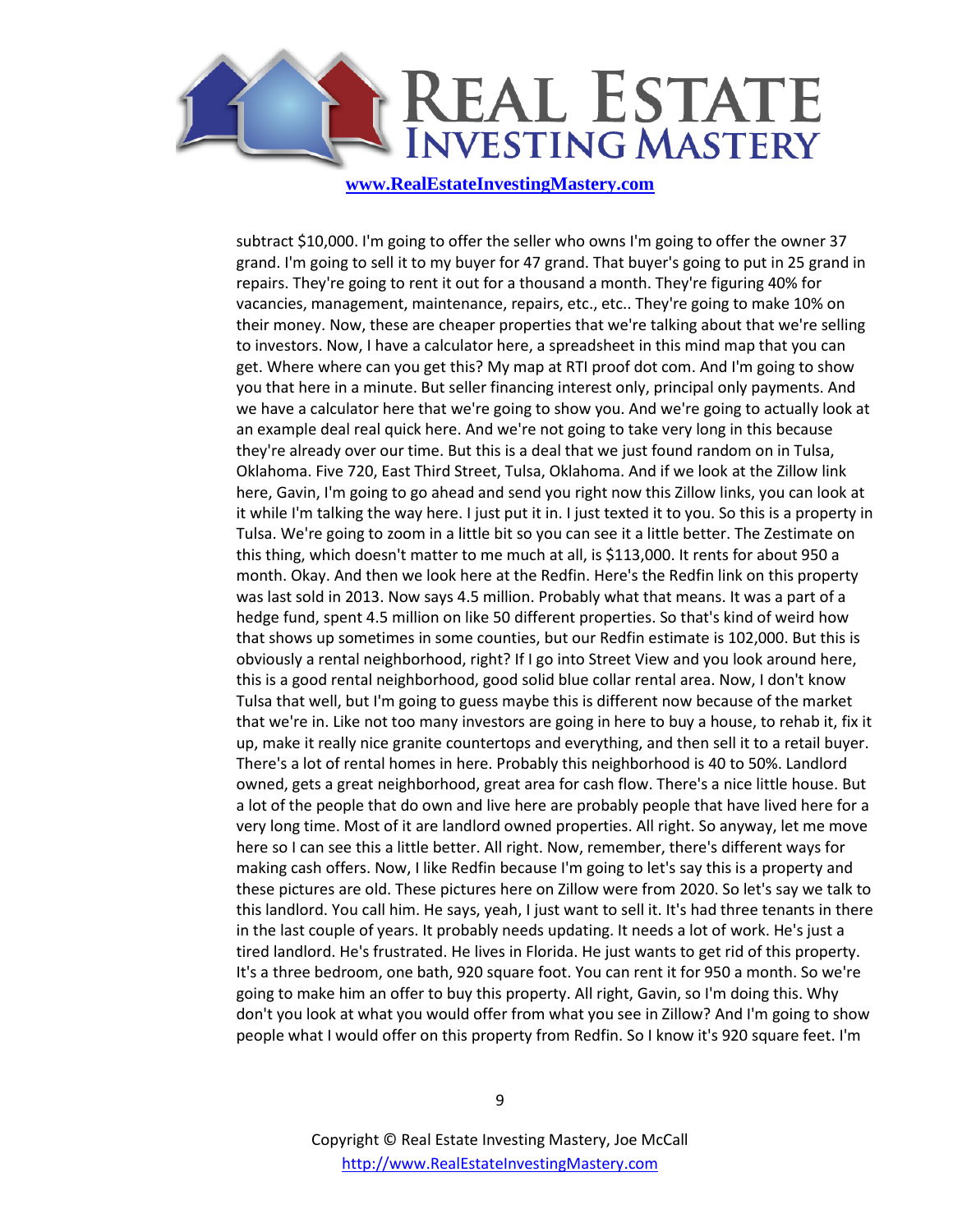

subtract \$10,000. I'm going to offer the seller who owns I'm going to offer the owner 37 grand. I'm going to sell it to my buyer for 47 grand. That buyer's going to put in 25 grand in repairs. They're going to rent it out for a thousand a month. They're figuring 40% for vacancies, management, maintenance, repairs, etc., etc.. They're going to make 10% on their money. Now, these are cheaper properties that we're talking about that we're selling to investors. Now, I have a calculator here, a spreadsheet in this mind map that you can get. Where where can you get this? My map at RTI proof dot com. And I'm going to show you that here in a minute. But seller financing interest only, principal only payments. And we have a calculator here that we're going to show you. And we're going to actually look at an example deal real quick here. And we're not going to take very long in this because they're already over our time. But this is a deal that we just found random on in Tulsa, Oklahoma. Five 720, East Third Street, Tulsa, Oklahoma. And if we look at the Zillow link here, Gavin, I'm going to go ahead and send you right now this Zillow links, you can look at it while I'm talking the way here. I just put it in. I just texted it to you. So this is a property in Tulsa. We're going to zoom in a little bit so you can see it a little better. The Zestimate on this thing, which doesn't matter to me much at all, is \$113,000. It rents for about 950 a month. Okay. And then we look here at the Redfin. Here's the Redfin link on this property was last sold in 2013. Now says 4.5 million. Probably what that means. It was a part of a hedge fund, spent 4.5 million on like 50 different properties. So that's kind of weird how that shows up sometimes in some counties, but our Redfin estimate is 102,000. But this is obviously a rental neighborhood, right? If I go into Street View and you look around here, this is a good rental neighborhood, good solid blue collar rental area. Now, I don't know Tulsa that well, but I'm going to guess maybe this is different now because of the market that we're in. Like not too many investors are going in here to buy a house, to rehab it, fix it up, make it really nice granite countertops and everything, and then sell it to a retail buyer. There's a lot of rental homes in here. Probably this neighborhood is 40 to 50%. Landlord owned, gets a great neighborhood, great area for cash flow. There's a nice little house. But a lot of the people that do own and live here are probably people that have lived here for a very long time. Most of it are landlord owned properties. All right. So anyway, let me move here so I can see this a little better. All right. Now, remember, there's different ways for making cash offers. Now, I like Redfin because I'm going to let's say this is a property and these pictures are old. These pictures here on Zillow were from 2020. So let's say we talk to this landlord. You call him. He says, yeah, I just want to sell it. It's had three tenants in there in the last couple of years. It probably needs updating. It needs a lot of work. He's just a tired landlord. He's frustrated. He lives in Florida. He just wants to get rid of this property. It's a three bedroom, one bath, 920 square foot. You can rent it for 950 a month. So we're going to make him an offer to buy this property. All right, Gavin, so I'm doing this. Why don't you look at what you would offer from what you see in Zillow? And I'm going to show people what I would offer on this property from Redfin. So I know it's 920 square feet. I'm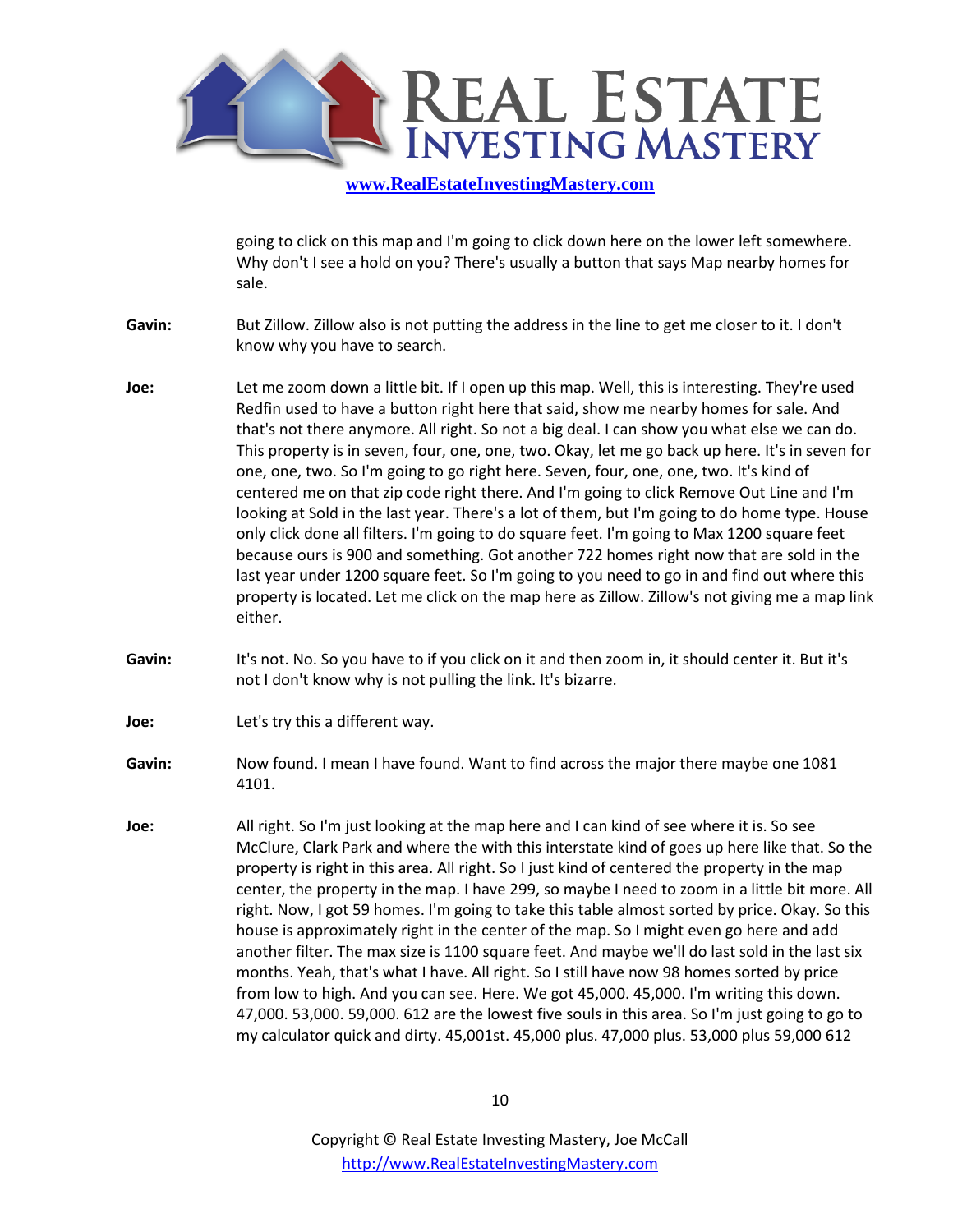

going to click on this map and I'm going to click down here on the lower left somewhere. Why don't I see a hold on you? There's usually a button that says Map nearby homes for sale.

- **Gavin:** But Zillow. Zillow also is not putting the address in the line to get me closer to it. I don't know why you have to search.
- **Joe:** Let me zoom down a little bit. If I open up this map. Well, this is interesting. They're used Redfin used to have a button right here that said, show me nearby homes for sale. And that's not there anymore. All right. So not a big deal. I can show you what else we can do. This property is in seven, four, one, one, two. Okay, let me go back up here. It's in seven for one, one, two. So I'm going to go right here. Seven, four, one, one, two. It's kind of centered me on that zip code right there. And I'm going to click Remove Out Line and I'm looking at Sold in the last year. There's a lot of them, but I'm going to do home type. House only click done all filters. I'm going to do square feet. I'm going to Max 1200 square feet because ours is 900 and something. Got another 722 homes right now that are sold in the last year under 1200 square feet. So I'm going to you need to go in and find out where this property is located. Let me click on the map here as Zillow. Zillow's not giving me a map link either.
- **Gavin:** It's not. No. So you have to if you click on it and then zoom in, it should center it. But it's not I don't know why is not pulling the link. It's bizarre.
- **Joe:** Let's try this a different way.
- **Gavin:** Now found. I mean I have found. Want to find across the major there maybe one 1081 4101.
- **Joe:** All right. So I'm just looking at the map here and I can kind of see where it is. So see McClure, Clark Park and where the with this interstate kind of goes up here like that. So the property is right in this area. All right. So I just kind of centered the property in the map center, the property in the map. I have 299, so maybe I need to zoom in a little bit more. All right. Now, I got 59 homes. I'm going to take this table almost sorted by price. Okay. So this house is approximately right in the center of the map. So I might even go here and add another filter. The max size is 1100 square feet. And maybe we'll do last sold in the last six months. Yeah, that's what I have. All right. So I still have now 98 homes sorted by price from low to high. And you can see. Here. We got 45,000. 45,000. I'm writing this down. 47,000. 53,000. 59,000. 612 are the lowest five souls in this area. So I'm just going to go to my calculator quick and dirty. 45,001st. 45,000 plus. 47,000 plus. 53,000 plus 59,000 612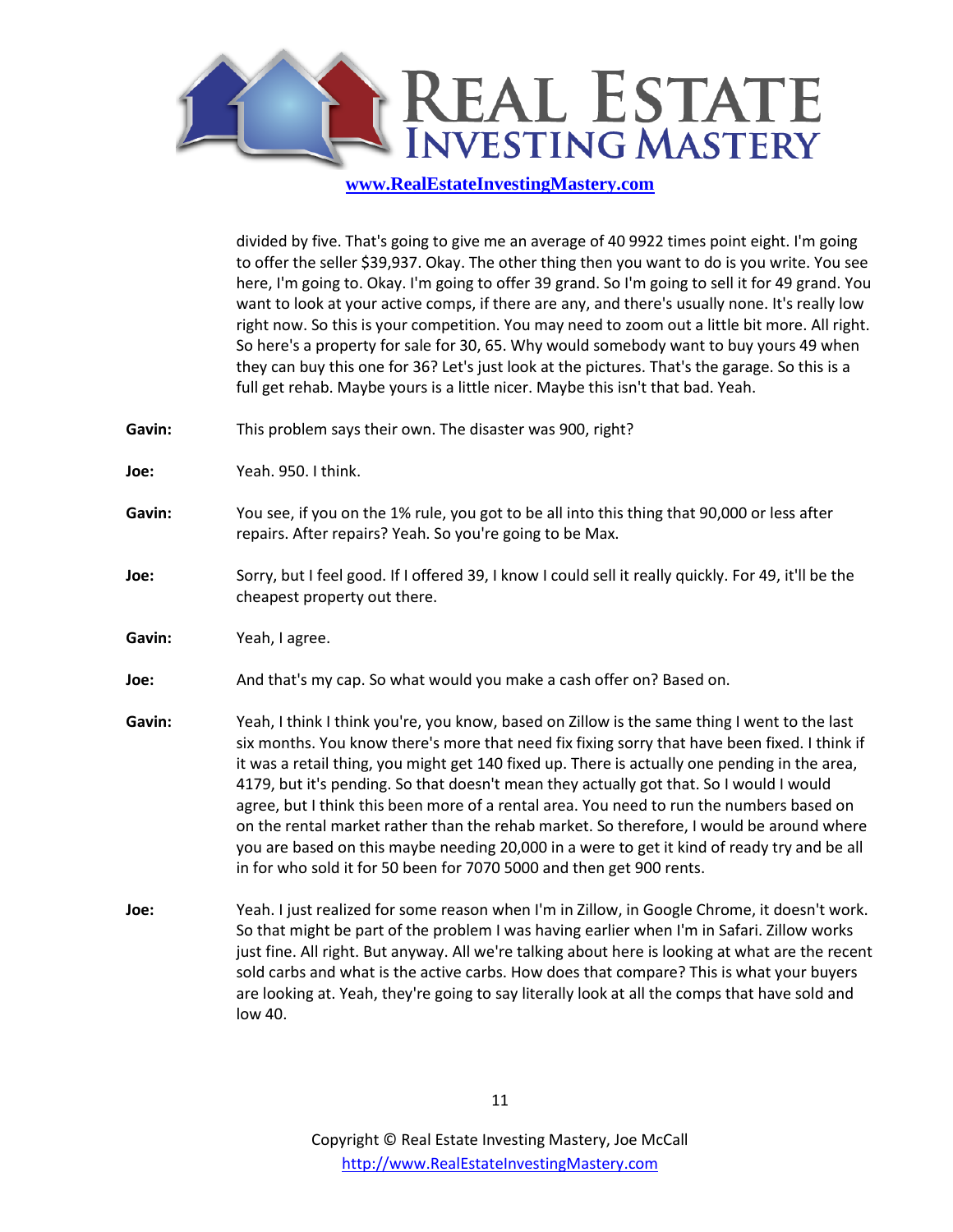

divided by five. That's going to give me an average of 40 9922 times point eight. I'm going to offer the seller \$39,937. Okay. The other thing then you want to do is you write. You see here, I'm going to. Okay. I'm going to offer 39 grand. So I'm going to sell it for 49 grand. You want to look at your active comps, if there are any, and there's usually none. It's really low right now. So this is your competition. You may need to zoom out a little bit more. All right. So here's a property for sale for 30, 65. Why would somebody want to buy yours 49 when they can buy this one for 36? Let's just look at the pictures. That's the garage. So this is a full get rehab. Maybe yours is a little nicer. Maybe this isn't that bad. Yeah.

- **Gavin:** This problem says their own. The disaster was 900, right?
- **Joe:** Yeah. 950. I think.
- **Gavin:** You see, if you on the 1% rule, you got to be all into this thing that 90,000 or less after repairs. After repairs? Yeah. So you're going to be Max.
- **Joe:** Sorry, but I feel good. If I offered 39, I know I could sell it really quickly. For 49, it'll be the cheapest property out there.
- Gavin: Yeah, I agree.
- **Joe:** And that's my cap. So what would you make a cash offer on? Based on.
- **Gavin:** Yeah, I think I think you're, you know, based on Zillow is the same thing I went to the last six months. You know there's more that need fix fixing sorry that have been fixed. I think if it was a retail thing, you might get 140 fixed up. There is actually one pending in the area, 4179, but it's pending. So that doesn't mean they actually got that. So I would I would agree, but I think this been more of a rental area. You need to run the numbers based on on the rental market rather than the rehab market. So therefore, I would be around where you are based on this maybe needing 20,000 in a were to get it kind of ready try and be all in for who sold it for 50 been for 7070 5000 and then get 900 rents.
- **Joe:** Yeah. I just realized for some reason when I'm in Zillow, in Google Chrome, it doesn't work. So that might be part of the problem I was having earlier when I'm in Safari. Zillow works just fine. All right. But anyway. All we're talking about here is looking at what are the recent sold carbs and what is the active carbs. How does that compare? This is what your buyers are looking at. Yeah, they're going to say literally look at all the comps that have sold and low 40.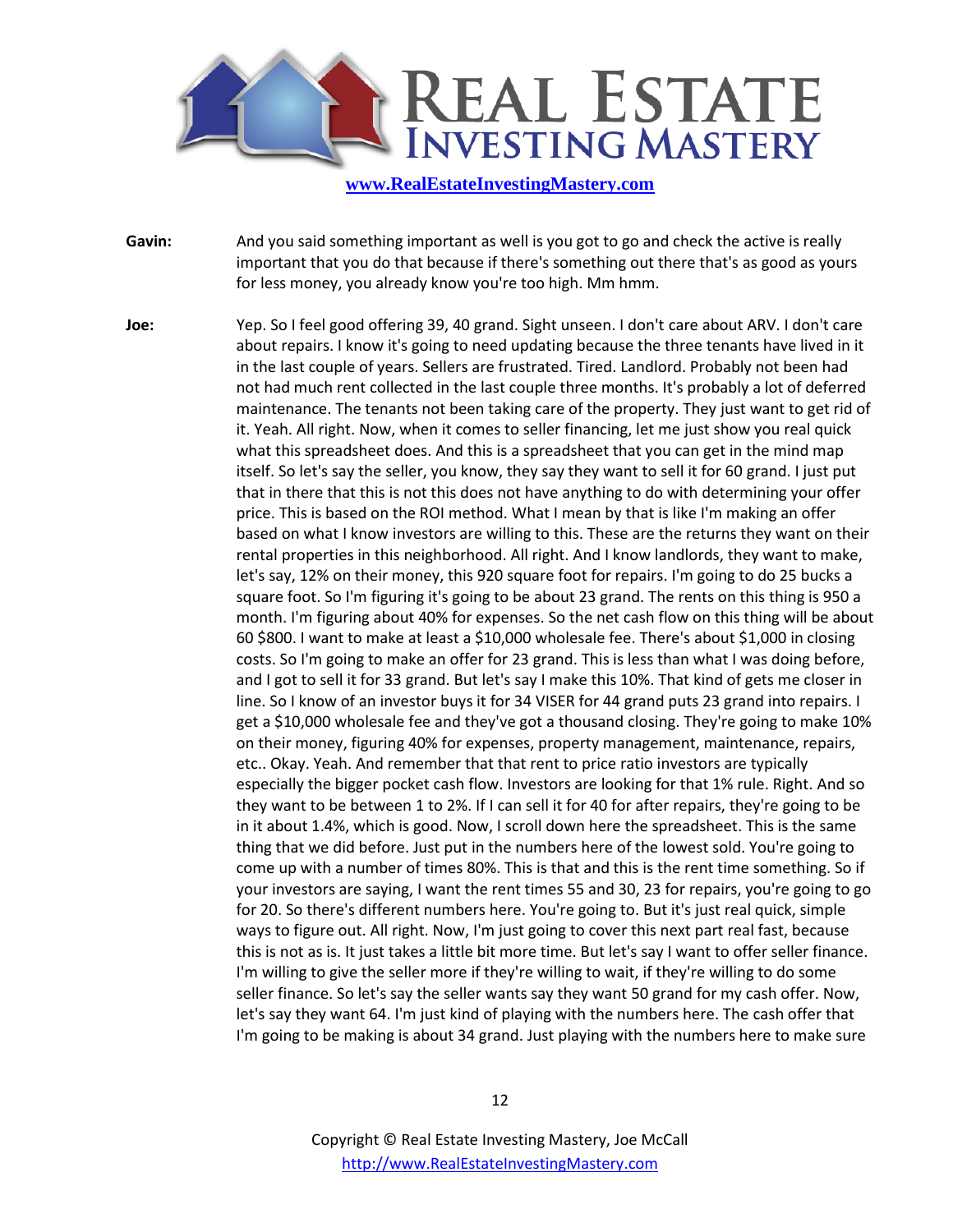

**Gavin:** And you said something important as well is you got to go and check the active is really important that you do that because if there's something out there that's as good as yours for less money, you already know you're too high. Mm hmm.

**Joe:** Yep. So I feel good offering 39, 40 grand. Sight unseen. I don't care about ARV. I don't care about repairs. I know it's going to need updating because the three tenants have lived in it in the last couple of years. Sellers are frustrated. Tired. Landlord. Probably not been had not had much rent collected in the last couple three months. It's probably a lot of deferred maintenance. The tenants not been taking care of the property. They just want to get rid of it. Yeah. All right. Now, when it comes to seller financing, let me just show you real quick what this spreadsheet does. And this is a spreadsheet that you can get in the mind map itself. So let's say the seller, you know, they say they want to sell it for 60 grand. I just put that in there that this is not this does not have anything to do with determining your offer price. This is based on the ROI method. What I mean by that is like I'm making an offer based on what I know investors are willing to this. These are the returns they want on their rental properties in this neighborhood. All right. And I know landlords, they want to make, let's say, 12% on their money, this 920 square foot for repairs. I'm going to do 25 bucks a square foot. So I'm figuring it's going to be about 23 grand. The rents on this thing is 950 a month. I'm figuring about 40% for expenses. So the net cash flow on this thing will be about 60 \$800. I want to make at least a \$10,000 wholesale fee. There's about \$1,000 in closing costs. So I'm going to make an offer for 23 grand. This is less than what I was doing before, and I got to sell it for 33 grand. But let's say I make this 10%. That kind of gets me closer in line. So I know of an investor buys it for 34 VISER for 44 grand puts 23 grand into repairs. I get a \$10,000 wholesale fee and they've got a thousand closing. They're going to make 10% on their money, figuring 40% for expenses, property management, maintenance, repairs, etc.. Okay. Yeah. And remember that that rent to price ratio investors are typically especially the bigger pocket cash flow. Investors are looking for that 1% rule. Right. And so they want to be between 1 to 2%. If I can sell it for 40 for after repairs, they're going to be in it about 1.4%, which is good. Now, I scroll down here the spreadsheet. This is the same thing that we did before. Just put in the numbers here of the lowest sold. You're going to come up with a number of times 80%. This is that and this is the rent time something. So if your investors are saying, I want the rent times 55 and 30, 23 for repairs, you're going to go for 20. So there's different numbers here. You're going to. But it's just real quick, simple ways to figure out. All right. Now, I'm just going to cover this next part real fast, because this is not as is. It just takes a little bit more time. But let's say I want to offer seller finance. I'm willing to give the seller more if they're willing to wait, if they're willing to do some seller finance. So let's say the seller wants say they want 50 grand for my cash offer. Now, let's say they want 64. I'm just kind of playing with the numbers here. The cash offer that I'm going to be making is about 34 grand. Just playing with the numbers here to make sure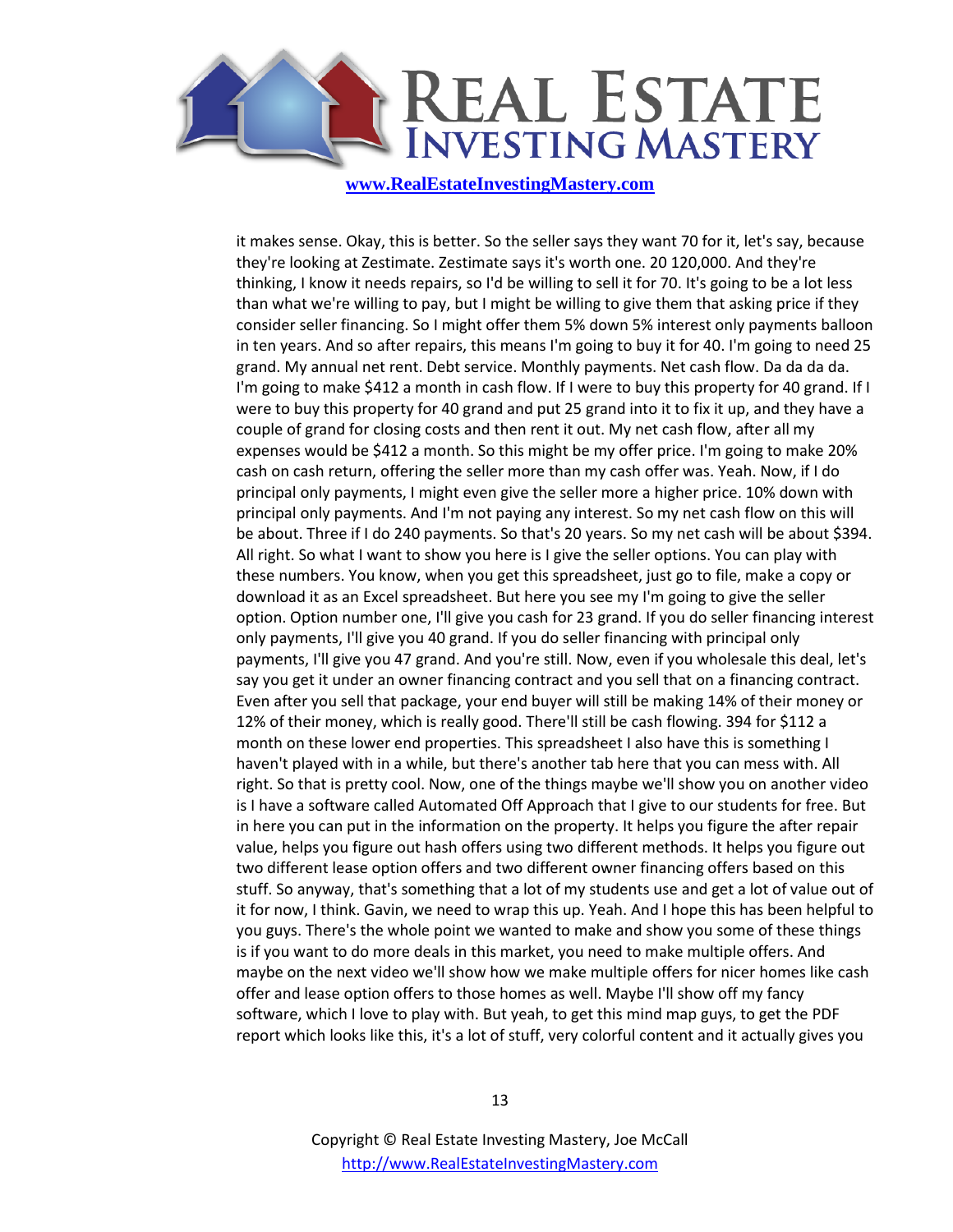

it makes sense. Okay, this is better. So the seller says they want 70 for it, let's say, because they're looking at Zestimate. Zestimate says it's worth one. 20 120,000. And they're thinking, I know it needs repairs, so I'd be willing to sell it for 70. It's going to be a lot less than what we're willing to pay, but I might be willing to give them that asking price if they consider seller financing. So I might offer them 5% down 5% interest only payments balloon in ten years. And so after repairs, this means I'm going to buy it for 40. I'm going to need 25 grand. My annual net rent. Debt service. Monthly payments. Net cash flow. Da da da da. I'm going to make \$412 a month in cash flow. If I were to buy this property for 40 grand. If I were to buy this property for 40 grand and put 25 grand into it to fix it up, and they have a couple of grand for closing costs and then rent it out. My net cash flow, after all my expenses would be \$412 a month. So this might be my offer price. I'm going to make 20% cash on cash return, offering the seller more than my cash offer was. Yeah. Now, if I do principal only payments, I might even give the seller more a higher price. 10% down with principal only payments. And I'm not paying any interest. So my net cash flow on this will be about. Three if I do 240 payments. So that's 20 years. So my net cash will be about \$394. All right. So what I want to show you here is I give the seller options. You can play with these numbers. You know, when you get this spreadsheet, just go to file, make a copy or download it as an Excel spreadsheet. But here you see my I'm going to give the seller option. Option number one, I'll give you cash for 23 grand. If you do seller financing interest only payments, I'll give you 40 grand. If you do seller financing with principal only payments, I'll give you 47 grand. And you're still. Now, even if you wholesale this deal, let's say you get it under an owner financing contract and you sell that on a financing contract. Even after you sell that package, your end buyer will still be making 14% of their money or 12% of their money, which is really good. There'll still be cash flowing. 394 for \$112 a month on these lower end properties. This spreadsheet I also have this is something I haven't played with in a while, but there's another tab here that you can mess with. All right. So that is pretty cool. Now, one of the things maybe we'll show you on another video is I have a software called Automated Off Approach that I give to our students for free. But in here you can put in the information on the property. It helps you figure the after repair value, helps you figure out hash offers using two different methods. It helps you figure out two different lease option offers and two different owner financing offers based on this stuff. So anyway, that's something that a lot of my students use and get a lot of value out of it for now, I think. Gavin, we need to wrap this up. Yeah. And I hope this has been helpful to you guys. There's the whole point we wanted to make and show you some of these things is if you want to do more deals in this market, you need to make multiple offers. And maybe on the next video we'll show how we make multiple offers for nicer homes like cash offer and lease option offers to those homes as well. Maybe I'll show off my fancy software, which I love to play with. But yeah, to get this mind map guys, to get the PDF report which looks like this, it's a lot of stuff, very colorful content and it actually gives you